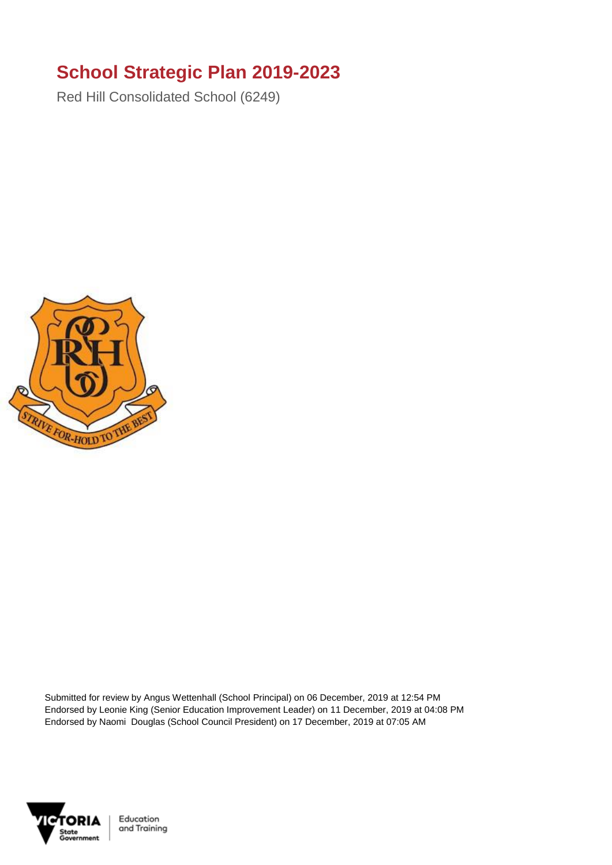## **School Strategic Plan 2019-2023**

Red Hill Consolidated School (6249)



Submitted for review by Angus Wettenhall (School Principal) on 06 December, 2019 at 12:54 PM Endorsed by Leonie King (Senior Education Improvement Leader) on 11 December, 2019 at 04:08 PM Endorsed by Naomi Douglas (School Council President) on 17 December, 2019 at 07:05 AM



Education and Training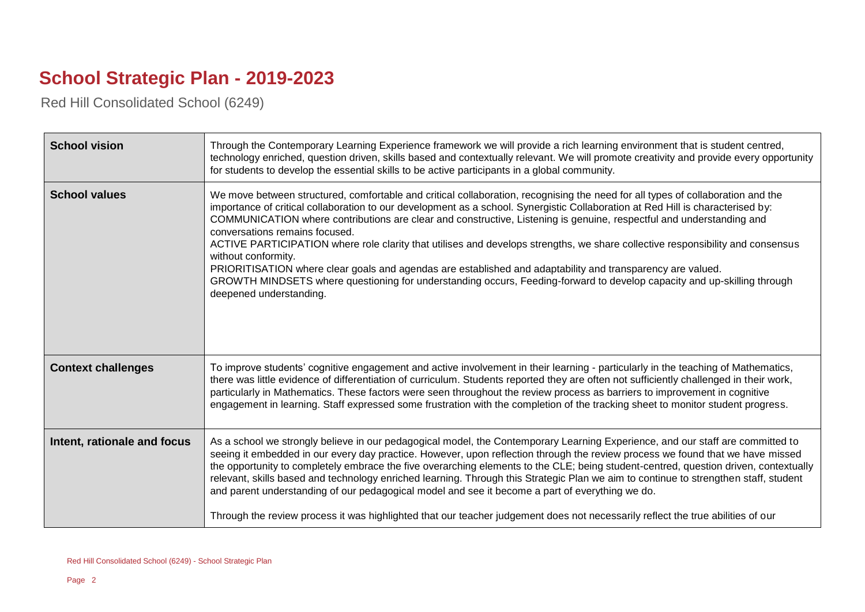## **School Strategic Plan - 2019-2023**

Red Hill Consolidated School (6249)

| <b>School vision</b>        | Through the Contemporary Learning Experience framework we will provide a rich learning environment that is student centred,<br>technology enriched, question driven, skills based and contextually relevant. We will promote creativity and provide every opportunity<br>for students to develop the essential skills to be active participants in a global community.                                                                                                                                                                                                                                                                                                                                                                                                                                                                                    |
|-----------------------------|-----------------------------------------------------------------------------------------------------------------------------------------------------------------------------------------------------------------------------------------------------------------------------------------------------------------------------------------------------------------------------------------------------------------------------------------------------------------------------------------------------------------------------------------------------------------------------------------------------------------------------------------------------------------------------------------------------------------------------------------------------------------------------------------------------------------------------------------------------------|
| <b>School values</b>        | We move between structured, comfortable and critical collaboration, recognising the need for all types of collaboration and the<br>importance of critical collaboration to our development as a school. Synergistic Collaboration at Red Hill is characterised by:<br>COMMUNICATION where contributions are clear and constructive, Listening is genuine, respectful and understanding and<br>conversations remains focused.<br>ACTIVE PARTICIPATION where role clarity that utilises and develops strengths, we share collective responsibility and consensus<br>without conformity.<br>PRIORITISATION where clear goals and agendas are established and adaptability and transparency are valued.<br>GROWTH MINDSETS where questioning for understanding occurs, Feeding-forward to develop capacity and up-skilling through<br>deepened understanding. |
| <b>Context challenges</b>   | To improve students' cognitive engagement and active involvement in their learning - particularly in the teaching of Mathematics,<br>there was little evidence of differentiation of curriculum. Students reported they are often not sufficiently challenged in their work,<br>particularly in Mathematics. These factors were seen throughout the review process as barriers to improvement in cognitive<br>engagement in learning. Staff expressed some frustration with the completion of the tracking sheet to monitor student progress.                                                                                                                                                                                                                                                                                                             |
| Intent, rationale and focus | As a school we strongly believe in our pedagogical model, the Contemporary Learning Experience, and our staff are committed to<br>seeing it embedded in our every day practice. However, upon reflection through the review process we found that we have missed<br>the opportunity to completely embrace the five overarching elements to the CLE; being student-centred, question driven, contextually<br>relevant, skills based and technology enriched learning. Through this Strategic Plan we aim to continue to strengthen staff, student<br>and parent understanding of our pedagogical model and see it become a part of everything we do.<br>Through the review process it was highlighted that our teacher judgement does not necessarily reflect the true abilities of our                                                                    |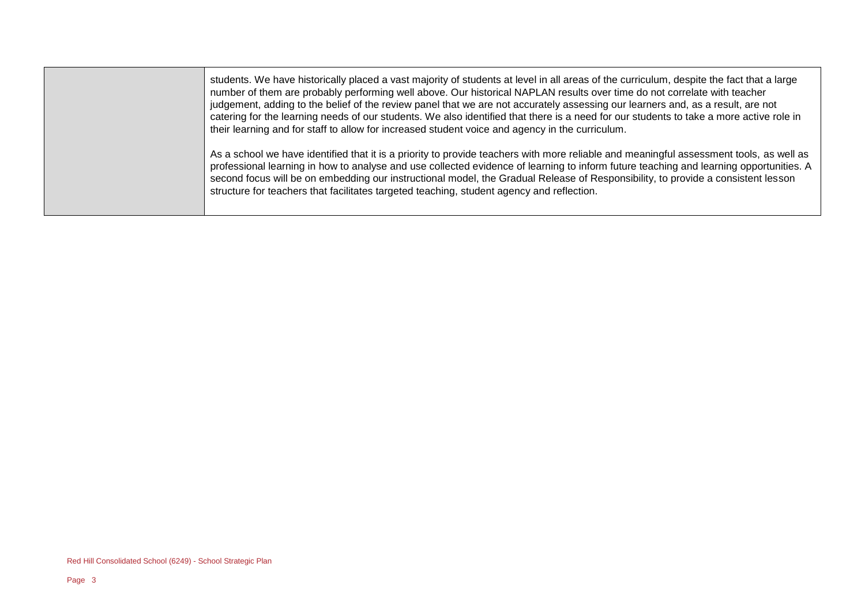students. We have historically placed a vast majority of students at level in all areas of the curriculum, despite the fact that a large number of them are probably performing well above. Our historical NAPLAN results over time do not correlate with teacher judgement, adding to the belief of the review panel that we are not accurately assessing our learners and, as a result, are not catering for the learning needs of our students. We also identified that there is a need for our students to take a more active role in their learning and for staff to allow for increased student voice and agency in the curriculum.

As a school we have identified that it is a priority to provide teachers with more reliable and meaningful assessment tools, as well as professional learning in how to analyse and use collected evidence of learning to inform future teaching and learning opportunities. A second focus will be on embedding our instructional model, the Gradual Release of Responsibility, to provide a consistent lesson structure for teachers that facilitates targeted teaching, student agency and reflection.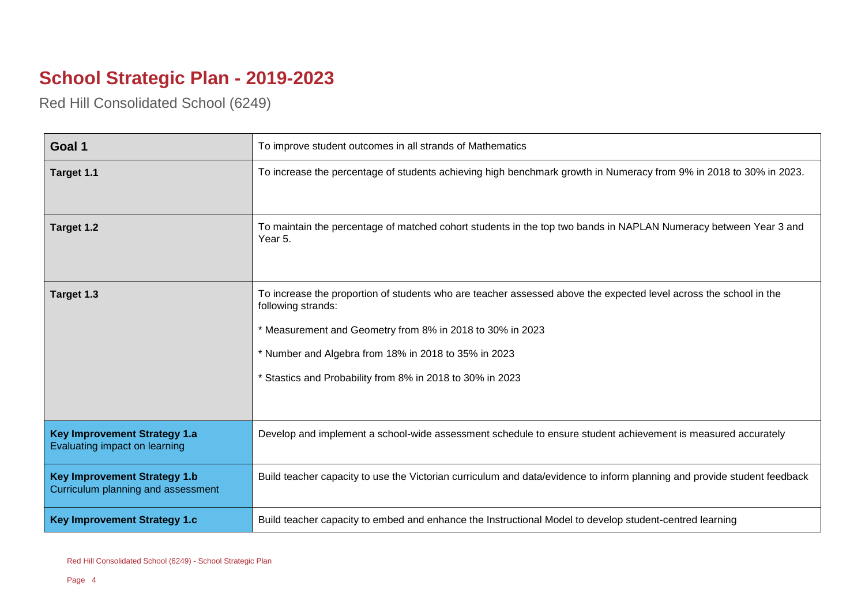## **School Strategic Plan - 2019-2023**

 $\overline{\phantom{a}}$ 

Red Hill Consolidated School (6249)

 $\overline{a}$ 

| Goal 1                                                                    | To improve student outcomes in all strands of Mathematics                                                                                                                                                                                                                                                                 |
|---------------------------------------------------------------------------|---------------------------------------------------------------------------------------------------------------------------------------------------------------------------------------------------------------------------------------------------------------------------------------------------------------------------|
| Target 1.1                                                                | To increase the percentage of students achieving high benchmark growth in Numeracy from 9% in 2018 to 30% in 2023.                                                                                                                                                                                                        |
| Target 1.2                                                                | To maintain the percentage of matched cohort students in the top two bands in NAPLAN Numeracy between Year 3 and<br>Year 5.                                                                                                                                                                                               |
| Target 1.3                                                                | To increase the proportion of students who are teacher assessed above the expected level across the school in the<br>following strands:<br>* Measurement and Geometry from 8% in 2018 to 30% in 2023<br>* Number and Algebra from 18% in 2018 to 35% in 2023<br>* Stastics and Probability from 8% in 2018 to 30% in 2023 |
| <b>Key Improvement Strategy 1.a</b><br>Evaluating impact on learning      | Develop and implement a school-wide assessment schedule to ensure student achievement is measured accurately                                                                                                                                                                                                              |
| <b>Key Improvement Strategy 1.b</b><br>Curriculum planning and assessment | Build teacher capacity to use the Victorian curriculum and data/evidence to inform planning and provide student feedback                                                                                                                                                                                                  |
| <b>Key Improvement Strategy 1.c</b>                                       | Build teacher capacity to embed and enhance the Instructional Model to develop student-centred learning                                                                                                                                                                                                                   |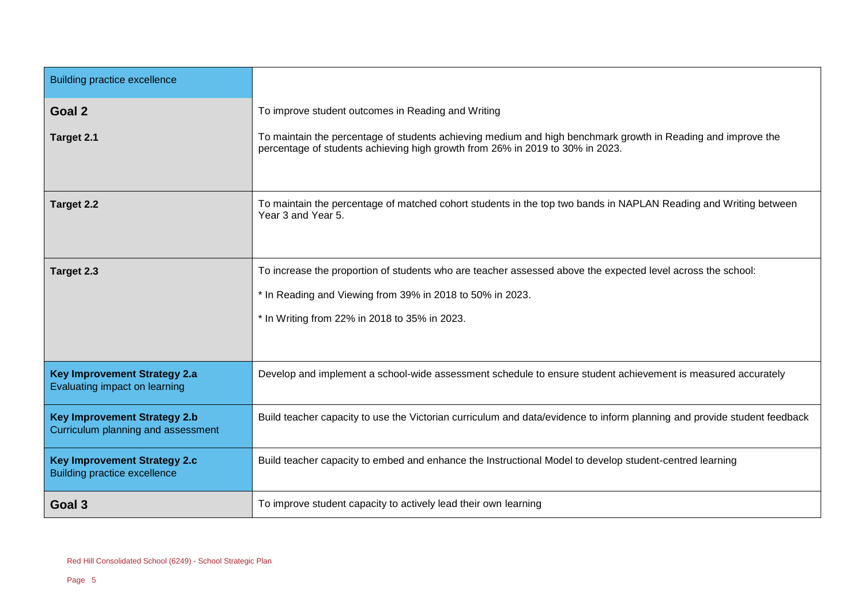| <b>Building practice excellence</b>                                        |                                                                                                                                                                                               |
|----------------------------------------------------------------------------|-----------------------------------------------------------------------------------------------------------------------------------------------------------------------------------------------|
| Goal 2                                                                     | To improve student outcomes in Reading and Writing                                                                                                                                            |
| Target 2.1                                                                 | To maintain the percentage of students achieving medium and high benchmark growth in Reading and improve the<br>percentage of students achieving high growth from 26% in 2019 to 30% in 2023. |
| Target 2.2                                                                 | To maintain the percentage of matched cohort students in the top two bands in NAPLAN Reading and Writing between<br>Year 3 and Year 5.                                                        |
| Target 2.3                                                                 | To increase the proportion of students who are teacher assessed above the expected level across the school:                                                                                   |
|                                                                            | * In Reading and Viewing from 39% in 2018 to 50% in 2023.                                                                                                                                     |
|                                                                            | * In Writing from 22% in 2018 to 35% in 2023.                                                                                                                                                 |
|                                                                            |                                                                                                                                                                                               |
| <b>Key Improvement Strategy 2.a</b><br>Evaluating impact on learning       | Develop and implement a school-wide assessment schedule to ensure student achievement is measured accurately                                                                                  |
| <b>Key Improvement Strategy 2.b</b><br>Curriculum planning and assessment  | Build teacher capacity to use the Victorian curriculum and data/evidence to inform planning and provide student feedback                                                                      |
| <b>Key Improvement Strategy 2.c</b><br><b>Building practice excellence</b> | Build teacher capacity to embed and enhance the Instructional Model to develop student-centred learning                                                                                       |
| Goal 3                                                                     | To improve student capacity to actively lead their own learning                                                                                                                               |